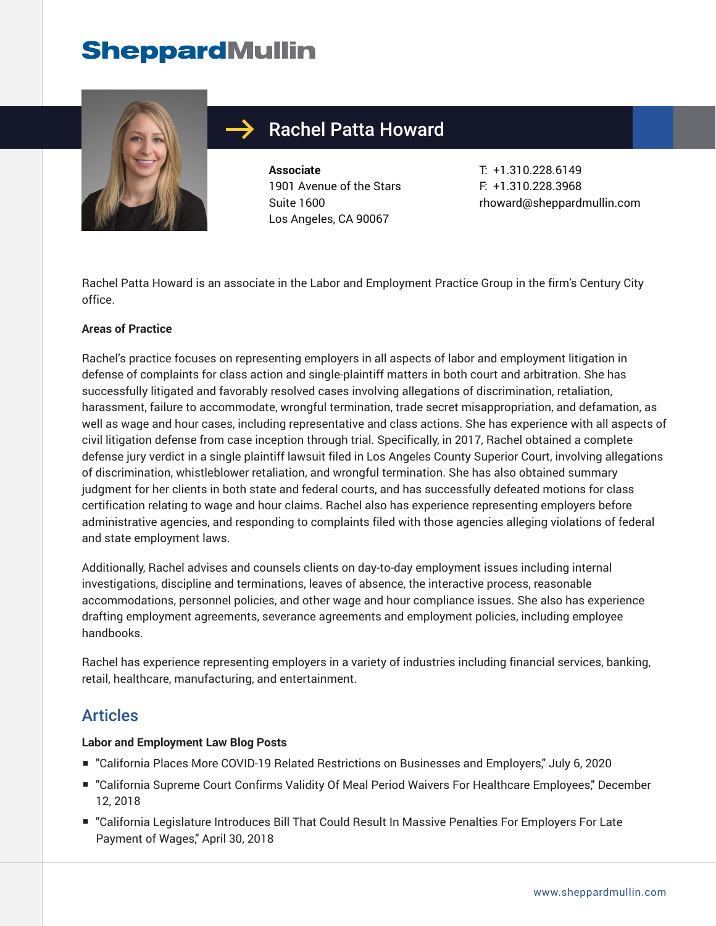# **SheppardMullin**



## Rachel Patta Howard

**Associate** 1901 Avenue of the Stars Suite 1600 Los Angeles, CA 90067

T: +1.310.228.6149 F: +1.310.228.3968 rhoward@sheppardmullin.com

Rachel Patta Howard is an associate in the Labor and Employment Practice Group in the firm's Century City office.

#### **Areas of Practice**

Rachel's practice focuses on representing employers in all aspects of labor and employment litigation in defense of complaints for class action and single-plaintiff matters in both court and arbitration. She has successfully litigated and favorably resolved cases involving allegations of discrimination, retaliation, harassment, failure to accommodate, wrongful termination, trade secret misappropriation, and defamation, as well as wage and hour cases, including representative and class actions. She has experience with all aspects of civil litigation defense from case inception through trial. Specifically, in 2017, Rachel obtained a complete defense jury verdict in a single plaintiff lawsuit filed in Los Angeles County Superior Court, involving allegations of discrimination, whistleblower retaliation, and wrongful termination. She has also obtained summary judgment for her clients in both state and federal courts, and has successfully defeated motions for class certification relating to wage and hour claims. Rachel also has experience representing employers before administrative agencies, and responding to complaints filed with those agencies alleging violations of federal and state employment laws.

Additionally, Rachel advises and counsels clients on day-to-day employment issues including internal investigations, discipline and terminations, leaves of absence, the interactive process, reasonable accommodations, personnel policies, and other wage and hour compliance issues. She also has experience drafting employment agreements, severance agreements and employment policies, including employee handbooks.

Rachel has experience representing employers in a variety of industries including financial services, banking, retail, healthcare, manufacturing, and entertainment.

### Articles

### **Labor and Employment Law Blog Posts**

- "California Places More COVID-19 Related Restrictions on Businesses and Employers," July 6, 2020
- "California Supreme Court Confirms Validity Of Meal Period Waivers For Healthcare Employees," December 12, 2018
- "California Legislature Introduces Bill That Could Result In Massive Penalties For Employers For Late Payment of Wages," April 30, 2018